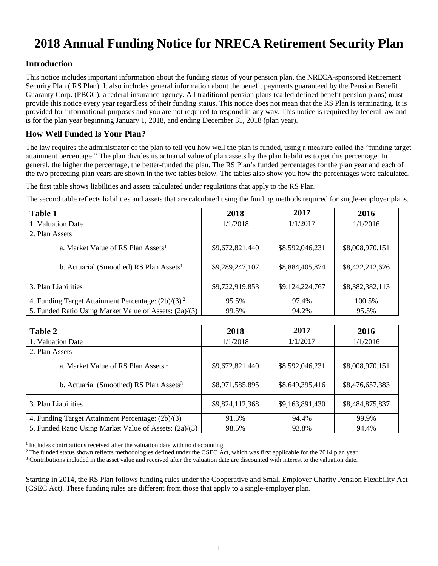# **2018 Annual Funding Notice for NRECA Retirement Security Plan**

## **Introduction**

This notice includes important information about the funding status of your pension plan, the NRECA-sponsored Retirement Security Plan ( RS Plan). It also includes general information about the benefit payments guaranteed by the Pension Benefit Guaranty Corp. (PBGC), a federal insurance agency. All traditional pension plans (called defined benefit pension plans) must provide this notice every year regardless of their funding status. This notice does not mean that the RS Plan is terminating. It is provided for informational purposes and you are not required to respond in any way. This notice is required by federal law and is for the plan year beginning January 1, 2018, and ending December 31, 2018 (plan year).

## **How Well Funded Is Your Plan?**

The law requires the administrator of the plan to tell you how well the plan is funded, using a measure called the "funding target attainment percentage." The plan divides its actuarial value of plan assets by the plan liabilities to get this percentage. In general, the higher the percentage, the better-funded the plan. The RS Plan's funded percentages for the plan year and each of the two preceding plan years are shown in the two tables below. The tables also show you how the percentages were calculated.

The first table shows liabilities and assets calculated under regulations that apply to the RS Plan.

The second table reflects liabilities and assets that are calculated using the funding methods required for single-employer plans.

| <b>Table 1</b>                                         | 2018            | 2017            | 2016            |
|--------------------------------------------------------|-----------------|-----------------|-----------------|
| 1. Valuation Date                                      | 1/1/2018        | 1/1/2017        | 1/1/2016        |
| 2. Plan Assets                                         |                 |                 |                 |
| a. Market Value of RS Plan Assets <sup>1</sup>         | \$9,672,821,440 | \$8,592,046,231 | \$8,008,970,151 |
| b. Actuarial (Smoothed) RS Plan Assets <sup>1</sup>    | \$9,289,247,107 | \$8,884,405,874 | \$8,422,212,626 |
| 3. Plan Liabilities                                    | \$9,722,919,853 | \$9,124,224,767 | \$8,382,382,113 |
| 4. Funding Target Attainment Percentage: $(2b)/(3)^2$  | 95.5%           | 97.4%           | 100.5%          |
| 5. Funded Ratio Using Market Value of Assets: (2a)/(3) | 99.5%           | 94.2%           | 95.5%           |
|                                                        |                 |                 |                 |
| Table 2                                                | 2018            | 2017            | 2016            |
| 1. Valuation Date                                      | 1/1/2018        | 1/1/2017        | 1/1/2016        |
| 2. Plan Assets                                         |                 |                 |                 |
| a. Market Value of RS Plan Assets <sup>1</sup>         | \$9,672,821,440 | \$8,592,046,231 | \$8,008,970,151 |
| b. Actuarial (Smoothed) RS Plan Assets <sup>3</sup>    | \$8,971,585,895 | \$8,649,395,416 | \$8,476,657,383 |
| 3. Plan Liabilities                                    | \$9,824,112,368 | \$9,163,891,430 | \$8,484,875,837 |
| 4. Funding Target Attainment Percentage: (2b)/(3)      | 91.3%           | 94.4%           | 99.9%           |
| 5. Funded Ratio Using Market Value of Assets: (2a)/(3) |                 |                 |                 |

<sup>1</sup> Includes contributions received after the valuation date with no discounting.

<sup>2</sup> The funded status shown reflects methodologies defined under the CSEC Act, which was first applicable for the 2014 plan year.

<sup>3</sup> Contributions included in the asset value and received after the valuation date are discounted with interest to the valuation date.

Starting in 2014, the RS Plan follows funding rules under the Cooperative and Small Employer Charity Pension Flexibility Act (CSEC Act). These funding rules are different from those that apply to a single-employer plan.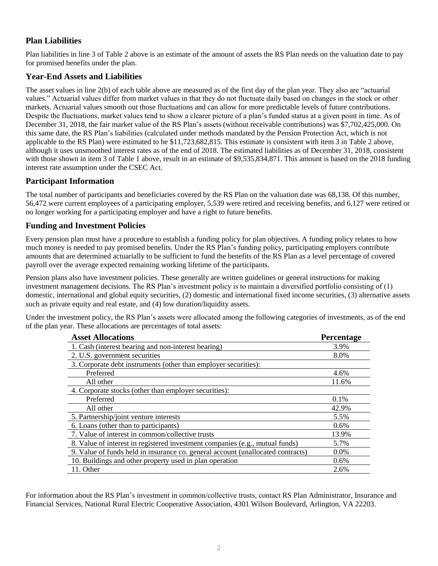# **Plan Liabilities**

Plan liabilities in line 3 of Table 2 above is an estimate of the amount of assets the RS Plan needs on the valuation date to pay for promised benefits under the plan.

# **Year-End Assets and Liabilities**

The asset values in line 2(b) of each table above are measured as of the first day of the plan year. They also are "actuarial values." Actuarial values differ from market values in that they do not fluctuate daily based on changes in the stock or other markets. Actuarial values smooth out those fluctuations and can allow for more predictable levels of future contributions. Despite the fluctuations, market values tend to show a clearer picture of a plan's funded status at a given point in time. As of December 31, 2018, the fair market value of the RS Plan's assets (without receivable contributions) was \$7,702,425,000. On this same date, the RS Plan's liabilities (calculated under methods mandated by the Pension Protection Act, which is not applicable to the RS Plan) were estimated to be \$11,723,682,815. This estimate is consistent with item 3 in Table 2 above, although it uses unsmoothed interest rates as of the end of 2018. The estimated liabilities as of December 31, 2018, consistent with those shown in item 3 of Table 1 above, result in an estimate of \$9,535,834,871. This amount is based on the 2018 funding interest rate assumption under the CSEC Act.

## **Participant Information**

The total number of participants and beneficiaries covered by the RS Plan on the valuation date was 68,138. Of this number, 56,472 were current employees of a participating employer, 5,539 were retired and receiving benefits, and 6,127 were retired or no longer working for a participating employer and have a right to future benefits.

## **Funding and Investment Policies**

Every pension plan must have a procedure to establish a funding policy for plan objectives. A funding policy relates to how much money is needed to pay promised benefits. Under the RS Plan's funding policy, participating employers contribute amounts that are determined actuarially to be sufficient to fund the benefits of the RS Plan as a level percentage of covered payroll over the average expected remaining working lifetime of the participants.

Pension plans also have investment policies. These generally are written guidelines or general instructions for making investment management decisions. The RS Plan's investment policy is to maintain a diversified portfolio consisting of (1) domestic, international and global equity securities, (2) domestic and international fixed income securities, (3) alternative assets such as private equity and real estate, and (4) low duration/liquidity assets.

Under the investment policy, the RS Plan's assets were allocated among the following categories of investments, as of the end of the plan year. These allocations are percentages of total assets:

| <b>Asset Allocations</b>                                                        | <b>Percentage</b> |
|---------------------------------------------------------------------------------|-------------------|
| 1. Cash (interest bearing and non-interest bearing)                             | 3.9%              |
| 2. U.S. government securities                                                   | 8.0%              |
| 3. Corporate debt instruments (other than employer securities):                 |                   |
| Preferred                                                                       | 4.6%              |
| All other                                                                       | 11.6%             |
| 4. Corporate stocks (other than employer securities):                           |                   |
| Preferred                                                                       | $0.1\%$           |
| All other                                                                       | 42.9%             |
| 5. Partnership/joint venture interests                                          | 5.5%              |
| 6. Loans (other than to participants)                                           | $0.6\%$           |
| 7. Value of interest in common/collective trusts                                | 13.9%             |
| 8. Value of interest in registered investment companies (e.g., mutual funds)    | 5.7%              |
| 9. Value of funds held in insurance co. general account (unallocated contracts) | $0.0\%$           |
| 10. Buildings and other property used in plan operation                         | $0.6\%$           |
| 11. Other                                                                       | 2.6%              |

For information about the RS Plan's investment in common/collective trusts, contact RS Plan Administrator, Insurance and Financial Services, National Rural Electric Cooperative Association, 4301 Wilson Boulevard, Arlington, VA 22203.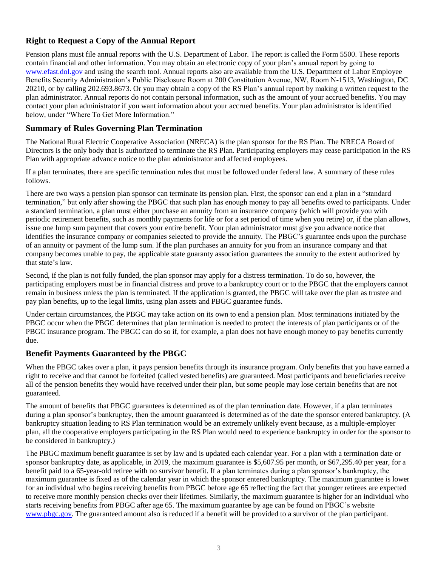# **Right to Request a Copy of the Annual Report**

Pension plans must file annual reports with the U.S. Department of Labor. The report is called the Form 5500. These reports contain financial and other information. You may obtain an electronic copy of your plan's annual report by going to www.efast.dol.gov and using the search tool. Annual reports also are available from the U.S. Department of Labor Employee Benefits Security Administration's Public Disclosure Room at 200 Constitution Avenue, NW, Room N-1513, Washington, DC 20210, or by calling 202.693.8673. Or you may obtain a copy of the RS Plan's annual report by making a written request to the plan administrator. Annual reports do not contain personal information, such as the amount of your accrued benefits. You may contact your plan administrator if you want information about your accrued benefits. Your plan administrator is identified below, under "Where To Get More Information."

#### **Summary of Rules Governing Plan Termination**

The National Rural Electric Cooperative Association (NRECA) is the plan sponsor for the RS Plan. The NRECA Board of Directors is the only body that is authorized to terminate the RS Plan. Participating employers may cease participation in the RS Plan with appropriate advance notice to the plan administrator and affected employees.

If a plan terminates, there are specific termination rules that must be followed under federal law. A summary of these rules follows.

There are two ways a pension plan sponsor can terminate its pension plan. First, the sponsor can end a plan in a "standard termination," but only after showing the PBGC that such plan has enough money to pay all benefits owed to participants. Under a standard termination, a plan must either purchase an annuity from an insurance company (which will provide you with periodic retirement benefits, such as monthly payments for life or for a set period of time when you retire) or, if the plan allows, issue one lump sum payment that covers your entire benefit. Your plan administrator must give you advance notice that identifies the insurance company or companies selected to provide the annuity. The PBGC's guarantee ends upon the purchase of an annuity or payment of the lump sum. If the plan purchases an annuity for you from an insurance company and that company becomes unable to pay, the applicable state guaranty association guarantees the annuity to the extent authorized by that state's law.

Second, if the plan is not fully funded, the plan sponsor may apply for a distress termination. To do so, however, the participating employers must be in financial distress and prove to a bankruptcy court or to the PBGC that the employers cannot remain in business unless the plan is terminated. If the application is granted, the PBGC will take over the plan as trustee and pay plan benefits, up to the legal limits, using plan assets and PBGC guarantee funds.

Under certain circumstances, the PBGC may take action on its own to end a pension plan. Most terminations initiated by the PBGC occur when the PBGC determines that plan termination is needed to protect the interests of plan participants or of the PBGC insurance program. The PBGC can do so if, for example, a plan does not have enough money to pay benefits currently due.

#### **Benefit Payments Guaranteed by the PBGC**

When the PBGC takes over a plan, it pays pension benefits through its insurance program. Only benefits that you have earned a right to receive and that cannot be forfeited (called vested benefits) are guaranteed. Most participants and beneficiaries receive all of the pension benefits they would have received under their plan, but some people may lose certain benefits that are not guaranteed.

The amount of benefits that PBGC guarantees is determined as of the plan termination date. However, if a plan terminates during a plan sponsor's bankruptcy, then the amount guaranteed is determined as of the date the sponsor entered bankruptcy. (A bankruptcy situation leading to RS Plan termination would be an extremely unlikely event because, as a multiple-employer plan, all the cooperative employers participating in the RS Plan would need to experience bankruptcy in order for the sponsor to be considered in bankruptcy.)

The PBGC maximum benefit guarantee is set by law and is updated each calendar year. For a plan with a termination date or sponsor bankruptcy date, as applicable, in 2019, the maximum guarantee is \$5,607.95 per month, or \$67,295.40 per year, for a benefit paid to a 65-year-old retiree with no survivor benefit. If a plan terminates during a plan sponsor's bankruptcy, the maximum guarantee is fixed as of the calendar year in which the sponsor entered bankruptcy. The maximum guarantee is lower for an individual who begins receiving benefits from PBGC before age 65 reflecting the fact that younger retirees are expected to receive more monthly pension checks over their lifetimes. Similarly, the maximum guarantee is higher for an individual who starts receiving benefits from PBGC after age 65. The maximum guarantee by age can be found on PBGC's website www.pbgc.gov. The guaranteed amount also is reduced if a benefit will be provided to a survivor of the plan participant.